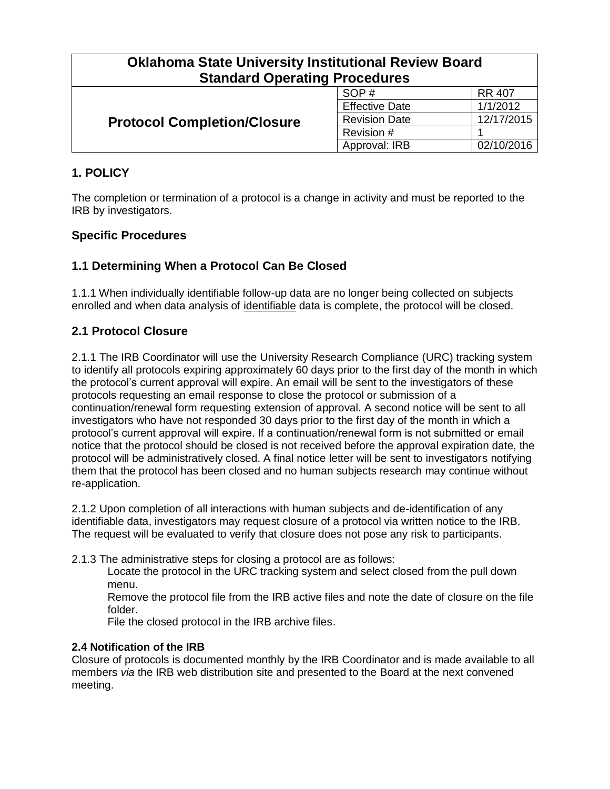| <b>Oklahoma State University Institutional Review Board</b> |                       |               |  |
|-------------------------------------------------------------|-----------------------|---------------|--|
| <b>Standard Operating Procedures</b>                        |                       |               |  |
| <b>Protocol Completion/Closure</b>                          | SOP#                  | <b>RR 407</b> |  |
|                                                             | <b>Effective Date</b> | 1/1/2012      |  |
|                                                             | <b>Revision Date</b>  | 12/17/2015    |  |
|                                                             | Revision #            |               |  |
|                                                             | Approval: IRB         | 02/10/2016    |  |

# **1. POLICY**

The completion or termination of a protocol is a change in activity and must be reported to the IRB by investigators.

# **Specific Procedures**

# **1.1 Determining When a Protocol Can Be Closed**

1.1.1 When individually identifiable follow-up data are no longer being collected on subjects enrolled and when data analysis of identifiable data is complete, the protocol will be closed.

# **2.1 Protocol Closure**

2.1.1 The IRB Coordinator will use the University Research Compliance (URC) tracking system to identify all protocols expiring approximately 60 days prior to the first day of the month in which the protocol's current approval will expire. An email will be sent to the investigators of these protocols requesting an email response to close the protocol or submission of a continuation/renewal form requesting extension of approval. A second notice will be sent to all investigators who have not responded 30 days prior to the first day of the month in which a protocol's current approval will expire. If a continuation/renewal form is not submitted or email notice that the protocol should be closed is not received before the approval expiration date, the protocol will be administratively closed. A final notice letter will be sent to investigators notifying them that the protocol has been closed and no human subjects research may continue without re-application.

2.1.2 Upon completion of all interactions with human subjects and de-identification of any identifiable data, investigators may request closure of a protocol via written notice to the IRB. The request will be evaluated to verify that closure does not pose any risk to participants.

2.1.3 The administrative steps for closing a protocol are as follows:

Locate the protocol in the URC tracking system and select closed from the pull down menu.

Remove the protocol file from the IRB active files and note the date of closure on the file folder.

File the closed protocol in the IRB archive files.

#### **2.4 Notification of the IRB**

Closure of protocols is documented monthly by the IRB Coordinator and is made available to all members *via* the IRB web distribution site and presented to the Board at the next convened meeting.